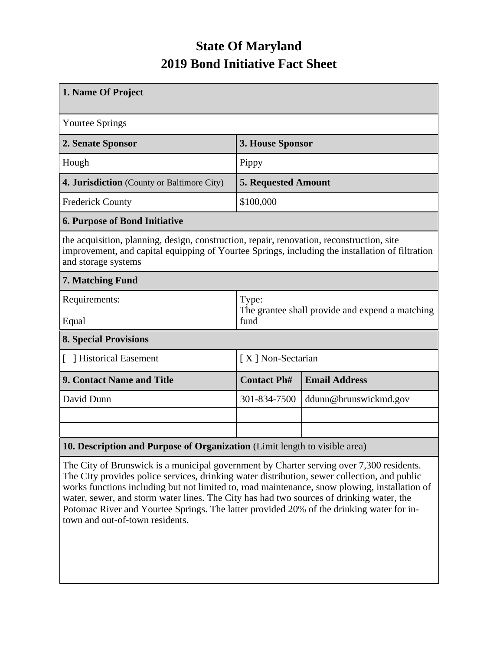## **State Of Maryland 2019 Bond Initiative Fact Sheet**

| 1. Name Of Project                                                                                                                                                                                                  |                                                                  |                       |  |  |  |
|---------------------------------------------------------------------------------------------------------------------------------------------------------------------------------------------------------------------|------------------------------------------------------------------|-----------------------|--|--|--|
| <b>Yourtee Springs</b>                                                                                                                                                                                              |                                                                  |                       |  |  |  |
| 2. Senate Sponsor                                                                                                                                                                                                   | 3. House Sponsor                                                 |                       |  |  |  |
| Hough                                                                                                                                                                                                               | Pippy                                                            |                       |  |  |  |
| 4. Jurisdiction (County or Baltimore City)                                                                                                                                                                          | <b>5. Requested Amount</b>                                       |                       |  |  |  |
| <b>Frederick County</b>                                                                                                                                                                                             | \$100,000                                                        |                       |  |  |  |
| <b>6. Purpose of Bond Initiative</b>                                                                                                                                                                                |                                                                  |                       |  |  |  |
| the acquisition, planning, design, construction, repair, renovation, reconstruction, site<br>improvement, and capital equipping of Yourtee Springs, including the installation of filtration<br>and storage systems |                                                                  |                       |  |  |  |
| 7. Matching Fund                                                                                                                                                                                                    |                                                                  |                       |  |  |  |
| Requirements:<br>Equal                                                                                                                                                                                              | Type:<br>The grantee shall provide and expend a matching<br>fund |                       |  |  |  |
| <b>8. Special Provisions</b>                                                                                                                                                                                        |                                                                  |                       |  |  |  |
| [ ] Historical Easement                                                                                                                                                                                             | [X] Non-Sectarian                                                |                       |  |  |  |
| 9. Contact Name and Title                                                                                                                                                                                           | <b>Contact Ph#</b>                                               | <b>Email Address</b>  |  |  |  |
| David Dunn                                                                                                                                                                                                          | 301-834-7500                                                     | ddunn@brunswickmd.gov |  |  |  |
|                                                                                                                                                                                                                     |                                                                  |                       |  |  |  |
|                                                                                                                                                                                                                     |                                                                  |                       |  |  |  |
| 10. Description and Purpose of Organization (Limit length to visible area)                                                                                                                                          |                                                                  |                       |  |  |  |

The City of Brunswick is a municipal government by Charter serving over 7,300 residents. The CIty provides police services, drinking water distribution, sewer collection, and public works functions including but not limited to, road maintenance, snow plowing, installation of water, sewer, and storm water lines. The City has had two sources of drinking water, the Potomac River and Yourtee Springs. The latter provided 20% of the drinking water for intown and out-of-town residents.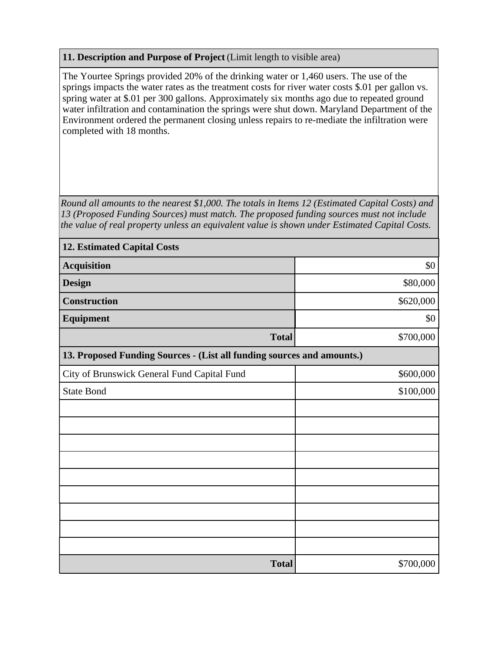## **11. Description and Purpose of Project** (Limit length to visible area)

The Yourtee Springs provided 20% of the drinking water or 1,460 users. The use of the springs impacts the water rates as the treatment costs for river water costs \$.01 per gallon vs. spring water at \$.01 per 300 gallons. Approximately six months ago due to repeated ground water infiltration and contamination the springs were shut down. Maryland Department of the Environment ordered the permanent closing unless repairs to re-mediate the infiltration were completed with 18 months.

*Round all amounts to the nearest \$1,000. The totals in Items 12 (Estimated Capital Costs) and 13 (Proposed Funding Sources) must match. The proposed funding sources must not include the value of real property unless an equivalent value is shown under Estimated Capital Costs.*

| <b>12. Estimated Capital Costs</b>                                     |           |  |  |  |
|------------------------------------------------------------------------|-----------|--|--|--|
| <b>Acquisition</b>                                                     | \$0       |  |  |  |
| <b>Design</b>                                                          | \$80,000  |  |  |  |
| <b>Construction</b>                                                    | \$620,000 |  |  |  |
| <b>Equipment</b>                                                       | \$0       |  |  |  |
| <b>Total</b>                                                           | \$700,000 |  |  |  |
| 13. Proposed Funding Sources - (List all funding sources and amounts.) |           |  |  |  |
| City of Brunswick General Fund Capital Fund                            | \$600,000 |  |  |  |
| <b>State Bond</b>                                                      | \$100,000 |  |  |  |
|                                                                        |           |  |  |  |
|                                                                        |           |  |  |  |
|                                                                        |           |  |  |  |
|                                                                        |           |  |  |  |
|                                                                        |           |  |  |  |
|                                                                        |           |  |  |  |
|                                                                        |           |  |  |  |
|                                                                        |           |  |  |  |
|                                                                        |           |  |  |  |
| <b>Total</b>                                                           | \$700,000 |  |  |  |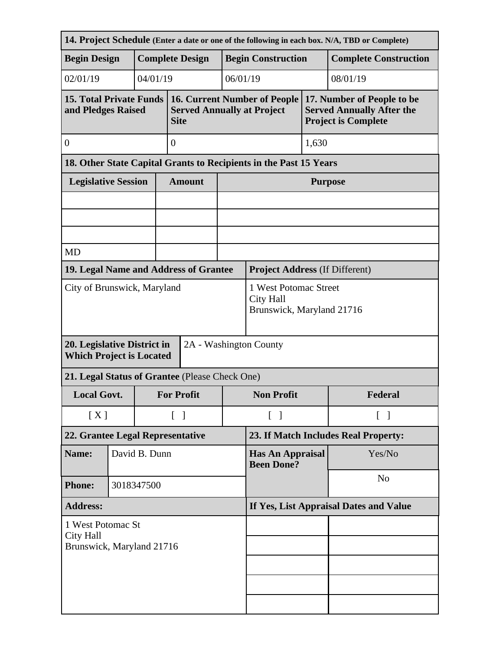| 14. Project Schedule (Enter a date or one of the following in each box. N/A, TBD or Complete) |                                         |                        |                                                                        |                                                                                         |                                              |                                                                   |                                                                                              |                              |  |
|-----------------------------------------------------------------------------------------------|-----------------------------------------|------------------------|------------------------------------------------------------------------|-----------------------------------------------------------------------------------------|----------------------------------------------|-------------------------------------------------------------------|----------------------------------------------------------------------------------------------|------------------------------|--|
| <b>Begin Design</b>                                                                           |                                         | <b>Complete Design</b> |                                                                        |                                                                                         |                                              | <b>Begin Construction</b>                                         |                                                                                              | <b>Complete Construction</b> |  |
| 02/01/19                                                                                      | 04/01/19<br>06/01/19                    |                        |                                                                        | 08/01/19                                                                                |                                              |                                                                   |                                                                                              |                              |  |
| <b>15. Total Private Funds</b><br>and Pledges Raised                                          |                                         |                        |                                                                        | <b>16. Current Number of People</b><br><b>Served Annually at Project</b><br><b>Site</b> |                                              |                                                                   | 17. Number of People to be<br><b>Served Annually After the</b><br><b>Project is Complete</b> |                              |  |
| $\mathbf{0}$                                                                                  |                                         |                        | $\overline{0}$                                                         |                                                                                         |                                              |                                                                   | 1,630                                                                                        |                              |  |
|                                                                                               |                                         |                        |                                                                        |                                                                                         |                                              | 18. Other State Capital Grants to Recipients in the Past 15 Years |                                                                                              |                              |  |
| <b>Legislative Session</b>                                                                    |                                         |                        |                                                                        | <b>Amount</b>                                                                           |                                              | <b>Purpose</b>                                                    |                                                                                              |                              |  |
|                                                                                               |                                         |                        |                                                                        |                                                                                         |                                              |                                                                   |                                                                                              |                              |  |
|                                                                                               |                                         |                        |                                                                        |                                                                                         |                                              |                                                                   |                                                                                              |                              |  |
| <b>MD</b>                                                                                     |                                         |                        |                                                                        |                                                                                         |                                              |                                                                   |                                                                                              |                              |  |
| 19. Legal Name and Address of Grantee                                                         |                                         |                        |                                                                        |                                                                                         |                                              | <b>Project Address (If Different)</b>                             |                                                                                              |                              |  |
| City of Brunswick, Maryland                                                                   |                                         |                        | 1 West Potomac Street<br><b>City Hall</b><br>Brunswick, Maryland 21716 |                                                                                         |                                              |                                                                   |                                                                                              |                              |  |
| 2A - Washington County<br>20. Legislative District in<br><b>Which Project is Located</b>      |                                         |                        |                                                                        |                                                                                         |                                              |                                                                   |                                                                                              |                              |  |
| 21. Legal Status of Grantee (Please Check One)                                                |                                         |                        |                                                                        |                                                                                         |                                              |                                                                   |                                                                                              |                              |  |
|                                                                                               | <b>Local Govt.</b><br><b>For Profit</b> |                        |                                                                        | <b>Non Profit</b><br>Federal                                                            |                                              |                                                                   |                                                                                              |                              |  |
|                                                                                               | [X]<br>$\lceil \; \rceil$               |                        |                                                                        | $\lceil \; \rceil$<br>$\lceil \; \rceil$                                                |                                              |                                                                   |                                                                                              |                              |  |
| 22. Grantee Legal Representative                                                              |                                         |                        | 23. If Match Includes Real Property:                                   |                                                                                         |                                              |                                                                   |                                                                                              |                              |  |
| Name:                                                                                         |                                         | David B. Dunn          |                                                                        |                                                                                         | <b>Has An Appraisal</b><br><b>Been Done?</b> |                                                                   | Yes/No                                                                                       |                              |  |
| <b>Phone:</b><br>3018347500                                                                   |                                         |                        |                                                                        |                                                                                         | N <sub>o</sub>                               |                                                                   |                                                                                              |                              |  |
| <b>Address:</b>                                                                               |                                         |                        | If Yes, List Appraisal Dates and Value                                 |                                                                                         |                                              |                                                                   |                                                                                              |                              |  |
| 1 West Potomac St<br>City Hall<br>Brunswick, Maryland 21716                                   |                                         |                        |                                                                        |                                                                                         |                                              |                                                                   |                                                                                              |                              |  |
|                                                                                               |                                         |                        |                                                                        |                                                                                         |                                              |                                                                   |                                                                                              |                              |  |
|                                                                                               |                                         |                        |                                                                        |                                                                                         |                                              |                                                                   |                                                                                              |                              |  |
|                                                                                               |                                         |                        |                                                                        |                                                                                         |                                              |                                                                   |                                                                                              |                              |  |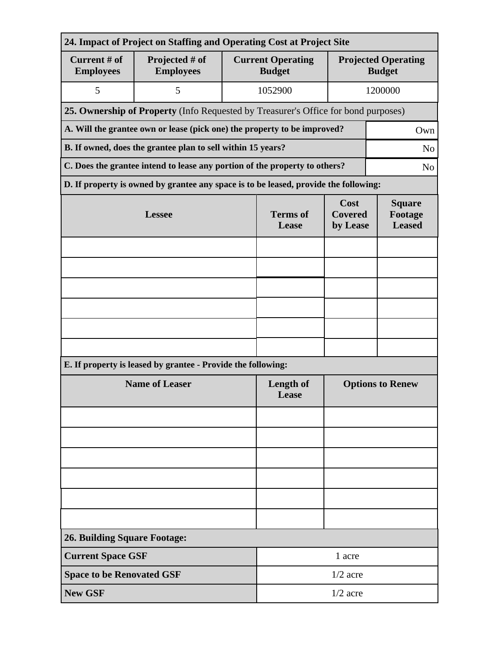| 24. Impact of Project on Staffing and Operating Cost at Project Site          |                                                                                              |                          |                                           |                                           |                                             |  |  |  |
|-------------------------------------------------------------------------------|----------------------------------------------------------------------------------------------|--------------------------|-------------------------------------------|-------------------------------------------|---------------------------------------------|--|--|--|
| Current # of<br><b>Employees</b>                                              | Projected # of<br><b>Employees</b>                                                           |                          | <b>Current Operating</b><br><b>Budget</b> |                                           | <b>Projected Operating</b><br><b>Budget</b> |  |  |  |
| 5                                                                             | 5                                                                                            |                          | 1052900                                   |                                           | 1200000                                     |  |  |  |
|                                                                               | 25. Ownership of Property (Info Requested by Treasurer's Office for bond purposes)           |                          |                                           |                                           |                                             |  |  |  |
|                                                                               | A. Will the grantee own or lease (pick one) the property to be improved?<br>Own              |                          |                                           |                                           |                                             |  |  |  |
| B. If owned, does the grantee plan to sell within 15 years?<br>N <sub>o</sub> |                                                                                              |                          |                                           |                                           |                                             |  |  |  |
|                                                                               | C. Does the grantee intend to lease any portion of the property to others?<br>N <sub>o</sub> |                          |                                           |                                           |                                             |  |  |  |
|                                                                               | D. If property is owned by grantee any space is to be leased, provide the following:         |                          |                                           |                                           |                                             |  |  |  |
|                                                                               | <b>Lessee</b>                                                                                | <b>Terms</b> of<br>Lease | Cost<br><b>Covered</b><br>by Lease        | <b>Square</b><br>Footage<br><b>Leased</b> |                                             |  |  |  |
|                                                                               |                                                                                              |                          |                                           |                                           |                                             |  |  |  |
|                                                                               |                                                                                              |                          |                                           |                                           |                                             |  |  |  |
|                                                                               |                                                                                              |                          |                                           |                                           |                                             |  |  |  |
|                                                                               |                                                                                              |                          |                                           |                                           |                                             |  |  |  |
|                                                                               |                                                                                              |                          |                                           |                                           |                                             |  |  |  |
|                                                                               |                                                                                              |                          |                                           |                                           |                                             |  |  |  |
|                                                                               | E. If property is leased by grantee - Provide the following:                                 |                          |                                           |                                           |                                             |  |  |  |
| <b>Name of Leaser</b>                                                         |                                                                                              |                          | <b>Length of</b><br>Lease                 | <b>Options to Renew</b>                   |                                             |  |  |  |
|                                                                               |                                                                                              |                          |                                           |                                           |                                             |  |  |  |
|                                                                               |                                                                                              |                          |                                           |                                           |                                             |  |  |  |
|                                                                               |                                                                                              |                          |                                           |                                           |                                             |  |  |  |
|                                                                               |                                                                                              |                          |                                           |                                           |                                             |  |  |  |
|                                                                               |                                                                                              |                          |                                           |                                           |                                             |  |  |  |
|                                                                               |                                                                                              |                          |                                           |                                           |                                             |  |  |  |
| <b>26. Building Square Footage:</b>                                           |                                                                                              |                          |                                           |                                           |                                             |  |  |  |
|                                                                               | <b>Current Space GSF</b><br>1 acre                                                           |                          |                                           |                                           |                                             |  |  |  |
| <b>Space to be Renovated GSF</b>                                              |                                                                                              |                          | $1/2$ acre                                |                                           |                                             |  |  |  |
| <b>New GSF</b>                                                                |                                                                                              |                          | $1/2$ acre                                |                                           |                                             |  |  |  |